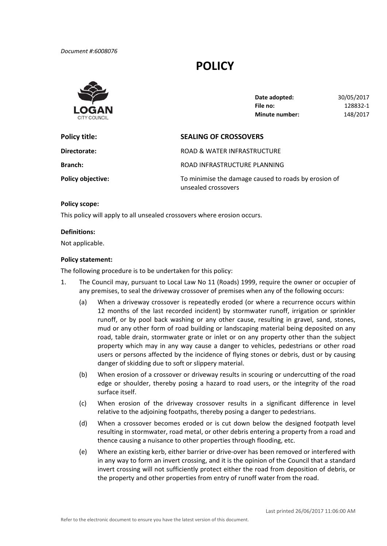*Document #:6008076*

# **POLICY**



| Date adopted:         | 30/05/2017 |
|-----------------------|------------|
| File no:              | 128832-1   |
| <b>Minute number:</b> | 148/2017   |

| Policy title:            | <b>SEALING OF CROSSOVERS</b>                                                |  |
|--------------------------|-----------------------------------------------------------------------------|--|
| Directorate:             | ROAD & WATER INFRASTRUCTURE                                                 |  |
| <b>Branch:</b>           | ROAD INFRASTRUCTURE PLANNING                                                |  |
| <b>Policy objective:</b> | To minimise the damage caused to roads by erosion of<br>unsealed crossovers |  |

## **Policy scope:**

This policy will apply to all unsealed crossovers where erosion occurs.

#### **Definitions:**

Not applicable.

## **Policy statement:**

The following procedure is to be undertaken for this policy:

- 1. The Council may, pursuant to Local Law No 11 (Roads) 1999, require the owner or occupier of any premises, to seal the driveway crossover of premises when any of the following occurs:
	- (a) When a driveway crossover is repeatedly eroded (or where a recurrence occurs within 12 months of the last recorded incident) by stormwater runoff, irrigation or sprinkler runoff, or by pool back washing or any other cause, resulting in gravel, sand, stones, mud or any other form of road building or landscaping material being deposited on any road, table drain, stormwater grate or inlet or on any property other than the subject property which may in any way cause a danger to vehicles, pedestrians or other road users or persons affected by the incidence of flying stones or debris, dust or by causing danger of skidding due to soft or slippery material.
	- (b) When erosion of a crossover or driveway results in scouring or undercutting of the road edge or shoulder, thereby posing a hazard to road users, or the integrity of the road surface itself.
	- (c) When erosion of the driveway crossover results in a significant difference in level relative to the adjoining footpaths, thereby posing a danger to pedestrians.
	- (d) When a crossover becomes eroded or is cut down below the designed footpath level resulting in stormwater, road metal, or other debris entering a property from a road and thence causing a nuisance to other properties through flooding, etc.
	- (e) Where an existing kerb, either barrier or drive‐over has been removed or interfered with in any way to form an invert crossing, and it is the opinion of the Council that a standard invert crossing will not sufficiently protect either the road from deposition of debris, or the property and other properties from entry of runoff water from the road.